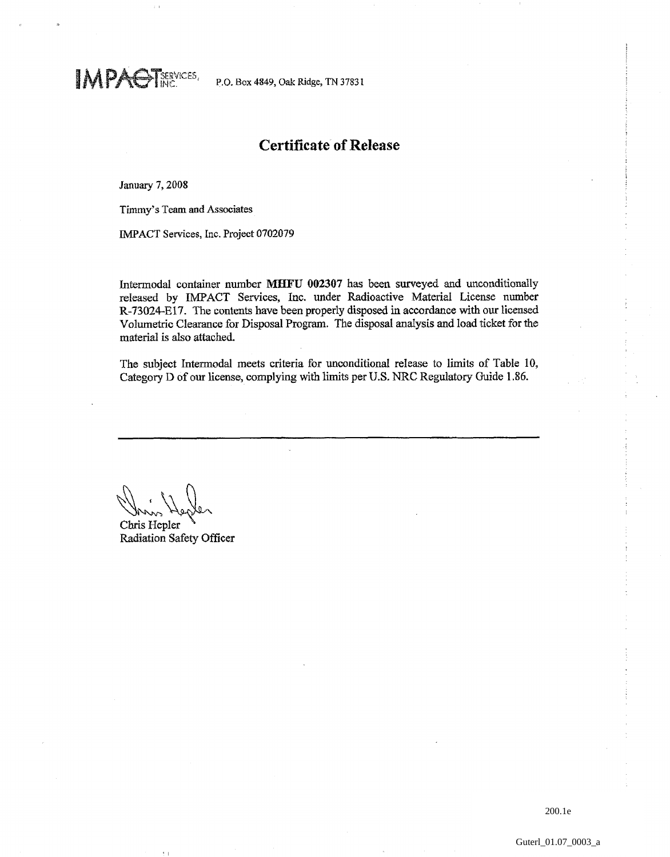**IMPAGT**SERVICES, P.O. Box 4849, Oak Ridge, TN 37831

## **Certificate of Release**

**January 7,2008** 

 $\dot{x}$  .

Timmy's Team and Associates

**IMPACT Services,** Inc. **Project 0702079** 

Intermodal container number **MHFU 002307** has been **surveyed and** unconditionally released by IMPACT Services, Inc. under Radioactive Material License number **R-73024-E17.** The contents have been properly disposed in accordance with **our** licensed Volumetric Clearance for Disposal Program. The disposal anaIysis and load ticket for the material is also attached.

The subject Intermodal **meets** criteria for unconditional release to limits of Table 10, Category D of our license, complying with limits per **U.S.** NRC Regulatory Guide 1.86.

Chris Hepler Radiation Safety Officer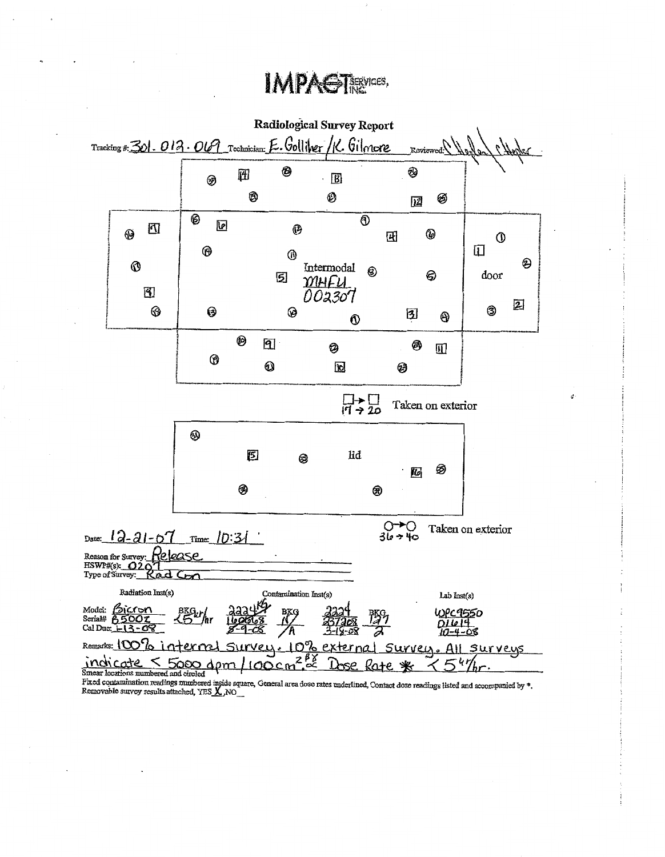## **IMPAGTERYCES**



۽ پ

Fixed contamination readings numbered inside square, General area dose rates underlined, Contact dose readings listed and accompanied by \*.<br>Removable survey results attached, YES X, NO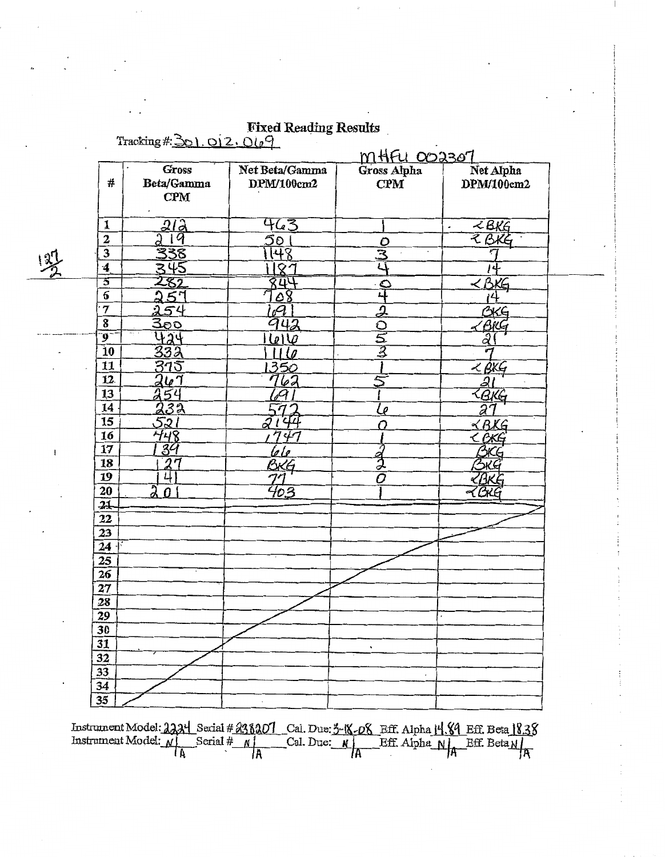|  | <b>Fixed Reading Results</b> |  |
|--|------------------------------|--|
|  |                              |  |

Tracking #:  $301.012.069$ 

|                         |                                    |                          | <u>MHFU 002307</u>       |                                         |
|-------------------------|------------------------------------|--------------------------|--------------------------|-----------------------------------------|
|                         | <b>Gross</b>                       | Net Beta/Gamma           | Gross Alpha              | Net Alpha                               |
| #                       | Beta/Gamma                         | DPM/100cm2               | CPM <sup>-</sup>         | DPM/100cm2                              |
|                         | $\mathbf{C} \mathbf{P} \mathbf{M}$ |                          |                          |                                         |
|                         |                                    |                          |                          |                                         |
| 1                       | 212                                | 463                      |                          | $\prec$ BKG<br>$\overline{\phantom{a}}$ |
| $\overline{2}$          | 219                                | $\overline{50}$          | O                        | 2BK                                     |
|                         | 338                                | स्पि                     | $\overline{\mathbf{3}}$  | ٣                                       |
| $\overline{4}$          | 345                                | $\overline{8}$           | $\overline{4}$           | 14                                      |
| 5                       | 282                                | 8ंग्र                    | $\bullet$                | $<$ $\beta$ KG                          |
| $\overline{6}$          | 251                                | <u>s 8</u>               | 니                        | ī4                                      |
| $\overline{7}$          | 254                                | $\overline{q}$           | $\overline{\mathcal{Q}}$ | G <sub>K</sub> G                        |
| $\overline{\mathbf{8}}$ | $\overline{\frac{300}{200}}$       | 942                      | $\overline{\mathsf{O}}$  |                                         |
| $\overline{9}$          | 424                                | 616                      | $\overline{\mathcal{Z}}$ | $\frac{2849}{21}$                       |
| $\overline{10}$         | 332                                | $\iota$                  | $\overline{\mathcal{Z}}$ |                                         |
| 11                      | 375                                | 350                      |                          | 200                                     |
| 12                      | 267                                | 62                       | 5                        | 2                                       |
| 13                      | 254<br>232                         |                          |                          | <u>&lt; BKG</u>                         |
| 14                      |                                    |                          | ما                       | $\overline{a}$                          |
| 15                      | 521                                | $\overline{\partial}$ l  |                          | ≺ RKG                                   |
| $\overline{16}$         | 448                                | $\overline{\mathcal{F}}$ |                          | < ÖKG                                   |
| 17                      | 39                                 | <u>64</u>                | $\frac{1}{2}$            | $C$ KG                                  |
| 18                      | $\overline{27}$                    | <b>BKG</b>               |                          | Бĸ                                      |
| 19                      | 4                                  |                          | Õ                        | ZBKE                                    |
| 20                      | ፯<br>$\Omega$                      | 63                       |                          | 7006                                    |
| $\frac{1}{4}$           |                                    |                          |                          |                                         |
| 22                      |                                    |                          |                          |                                         |
| $\overline{23}$         |                                    |                          |                          |                                         |
| 24                      |                                    |                          |                          |                                         |
| 25                      |                                    |                          |                          |                                         |
| $\overline{26}$         |                                    |                          |                          |                                         |
| $\overline{27}$         |                                    |                          |                          |                                         |
| 28                      |                                    |                          |                          |                                         |
| $\overline{29}$         |                                    |                          |                          |                                         |
| 30                      |                                    |                          |                          |                                         |
| 31                      |                                    |                          | $\bullet$                |                                         |
| $\overline{32}$         |                                    |                          |                          |                                         |
| $\overline{33}$         |                                    |                          |                          |                                         |
| 34                      |                                    |                          |                          |                                         |
| $\overline{35}$         |                                    |                          |                          |                                         |

Instrument Model: 2224 Serial # 238201 Cal. Due: 3-18-08 Eff. Alpha 14.84 Eff. Beta 18.38<br>Instrument Model:  $\frac{N}{A}$  Serial #  $\frac{N}{A}$  Cal. Due:  $\frac{N}{A}$  Eff. Alpha  $\frac{N}{A}$  Eff. Beta  $\frac{N}{A}$ 

 $\mathbf{1}$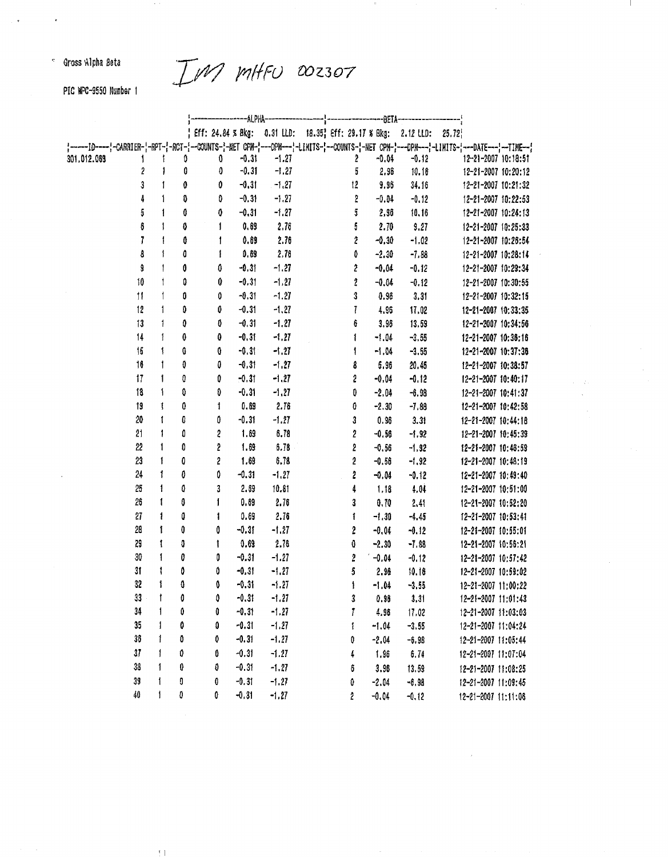<sup>c</sup> Gross Alpha Beta

 $\bar{q}$ 

 $\sim$ 

 $\pm 1$ 

IM mitro 002307

 $\mathcal{H}$ 

 $\mathbf{I}$ 

PIC WPC-9550 Number 1

|               |                      |                   |              |         |         | Eff: 24.84 % Bkg: 0.31 LLD: 18.35  Eff: 29.17 % Bkg: 2.12 LLD: 25.72 |         |          |                                                                                                                                       |
|---------------|----------------------|-------------------|--------------|---------|---------|----------------------------------------------------------------------|---------|----------|---------------------------------------------------------------------------------------------------------------------------------------|
|               |                      |                   |              |         |         |                                                                      |         |          | ;-----ID----;-CARRIER-{-RPT-{-RCT-{--COUNTS-}-NET CPM-{---OPM---{-LIMITS-{--COUNTS-{-NET CPM-}---DPM---}-LIMITS-{-~-DATE---{--TIME--} |
| 301,012.069   | 1                    | $\ddagger$<br>0   | 0            | $-0.31$ | $-1.27$ | 2                                                                    | $-0.04$ | $-0.12$  | 12-21-2007 10:18:51                                                                                                                   |
|               | 2                    | $\mathbf{i}$<br>0 | 0            | $-0.31$ | $-1.27$ | 5                                                                    | 2.96    | 10.16    | 12-21-2007 10:20:12                                                                                                                   |
|               | 3                    | $\mathbf{I}$<br>0 | 0            | $-0.31$ | $-1.27$ | 12                                                                   | 9.96    | 34.16    | 12-21-2007 10:21:32                                                                                                                   |
|               | $\mathbf{1}$<br>į    | O                 | 0            | $-0.31$ | $-1.27$ | Ş,                                                                   | $-0.04$ | $-0.12$  | 12-21-2007 10:22:53                                                                                                                   |
|               | 5                    | $\mathbf{I}$<br>0 | 0            | $-0.31$ | $-1.27$ | ij                                                                   | 2.96    | 10.16    | 12-21-2007 10:24:13                                                                                                                   |
|               | ô<br>ţ               | 0                 | $\mathbf{I}$ | 0.69    | 2.76    | 5                                                                    | 2.70    | 9,27     | 12-21-2007 10:25:33                                                                                                                   |
|               | 7                    | $\mathbf{1}$<br>0 | 1            | 0.69    | 2.76    | 2                                                                    | $-0.30$ | $-1.02$  | 12-21-2007 10:26:54                                                                                                                   |
|               | 8<br>$\ddagger$      | 0                 | 1            | 0.69    | 2.76    | 0                                                                    | $-2.30$ | $-7.88$  | 12-21-2007 10:28:14                                                                                                                   |
|               | 9<br>$\mathbf{1}$    | 0                 | 0            | $-0.31$ | $-1.27$ | Z                                                                    | $-0.04$ | $-0.12$  | 12-21-2007 10:29:34                                                                                                                   |
| 10            | $^\dagger$           | 0                 | 0            | $-0.31$ | $-1,27$ | $\pmb{2}$                                                            | $-0.04$ | $-0.12$  | 12-21-2007 10:30:55                                                                                                                   |
| $\mathbf{H}$  | $\mathfrak{f}% _{0}$ | 0                 | 0            | $-0.31$ | $-1.21$ | 3                                                                    | 0.96    | 3,31     | 12-21-2007 10:32:15                                                                                                                   |
| 12            | $\mathbf{1}$         | 0                 | 0            | $-0.31$ | $-1.27$ | Ī                                                                    | 4.96    | 17.02    | 12-21-2007 10:33:35                                                                                                                   |
| 13            | $\mathbf{1}$         | 0                 | ŋ            | $-0.31$ | $-1.27$ | Ĝ                                                                    | 3,96    | 13.59    | 12-21-2007 10:34:56                                                                                                                   |
| $\frac{1}{4}$ | $\mathbf{I}$         | 0                 | 0            | $-0.31$ | $-1.27$ | 1                                                                    | $-1.04$ | $-3.55$  | 12-21-2007 10:38:16                                                                                                                   |
| 5             | 1                    | G                 | 0            | $-0.31$ | $-1.27$ | ŧ                                                                    | $-1.04$ | $-3.55$  | 12-21-2007 10:37:36                                                                                                                   |
| 16            | $\mathfrak{f}$       | 0                 | 0            | $-0.31$ | $-1.27$ | 8                                                                    | 5,96    | 20.45    | 12-21-2007 10:38:57                                                                                                                   |
| 17            | ţ                    | 0                 | 0            | $-0.31$ | $-1.27$ | Ż                                                                    | $-0.04$ | $-0.12$  | 12-21-2007 10:40:17                                                                                                                   |
| 18            | í                    | 0                 | 0            | $-0.31$ | $-1,27$ | 0                                                                    | $-2.04$ | $-6.98$  | 12-21-2007 10:41:37                                                                                                                   |
| 19            | Ţ                    | 0                 | 1            | 0.69    | 2.76    | 0                                                                    | $-2.30$ | $-7.88$  | 12-21-2007 10:42:58                                                                                                                   |
| 20            | $\mathbf{I}$         | 0                 | 0            | $-0.31$ | $-1.27$ | 3                                                                    | 0.96    | 3.31     | 12-21-2007 10:44:18                                                                                                                   |
| 21            | 1                    | 0                 | 2            | 1.69    | 6,78    | 2                                                                    | $-0.56$ | $-1.92$  | 12-21-2007 10:45:39                                                                                                                   |
| 22            | 1                    | 0                 | 2            | 1.69    | 6.78    | 2                                                                    | $-0.56$ | $-1, 92$ | 12-21-2007 10:48:59                                                                                                                   |
| 23            | 1                    | 0                 | 2            | 1.69    | 6.78    | 2                                                                    | $-0.56$ | $-1.92$  | 12-21-2007 10:48:19                                                                                                                   |
| 24            | 1                    | 0                 | 0            | $-0.31$ | $-1,27$ | Ż                                                                    | $-0.04$ | $-0.12$  | 12-21-2007 10:49:40                                                                                                                   |
| 25            | 1                    | Û                 | 1            | 2.59    | 10.81   | 4                                                                    | 1,18    | 4.04     | 12-21-2007 10:51:00                                                                                                                   |
| 26            | 1                    | 0                 | ſ            | 0,69    | 2.76    | 3                                                                    | 0.70    | 2.41     | 12-21-2007 10:52:20                                                                                                                   |
| 27            | 1                    | 0                 | 1            | 0.69    | 2.76    | ŧ                                                                    | $-1.30$ | $-4.45$  | 12-21-2007 10:53:41                                                                                                                   |
| 28            | ţ                    | 0                 | 0            | $-0.31$ | $-1.27$ | 2                                                                    | $-0.04$ | $-0.12$  | 12-21-2007 10:55:01                                                                                                                   |
| 29            | 1                    | Q                 | ŧ            | 0.69    | 2.78    | 0                                                                    | $-2.30$ | $-7.88$  | 12-21-2007 10:56:21                                                                                                                   |
| 30            | 1                    | 0                 | 0            | $-0.31$ | $-1.27$ | 2                                                                    | $-0.04$ | $-0.12$  | 12-21-2007 10:57:42                                                                                                                   |
| 31            | 1                    | 0                 | 0            | $-0.31$ | $-1.27$ | 5                                                                    | 2.96    | 10.18    | 12-21-2007 10:59:02                                                                                                                   |
| 32            | 1                    | 0                 | 0            | $-0.31$ | $-1.27$ | $\mathbf{1}$                                                         | $-1.04$ | $-3,55$  | 12-21-2007 11:00:22                                                                                                                   |
| $33 -$        | $\mathbf{1}$         | 0                 | 0            | $-0.31$ | $-1.27$ | 3 <sup>7</sup>                                                       | 0.96    | 3,31     | 12-21-2007 11:01:43                                                                                                                   |
| 34            | 1                    | 0                 | 0            | $-0.31$ | $-1.27$ | 7                                                                    | 4,96    | 17.02    | 12-21-2007 11:03:03                                                                                                                   |
| 35            | 1                    | 0                 | 0            | $-0.31$ | $-1.27$ | 1                                                                    | $-1.04$ | $-3.55$  | 12-21-2007 11:04:24                                                                                                                   |
| 36            |                      | 0                 | 0            | $-0.31$ | $-1.27$ | 0                                                                    | $-2.04$ | $-6, 98$ | 12-21-2007 11:05:44                                                                                                                   |
| 37            |                      | 0                 | 0            | $-0.31$ | $-1.27$ | 4                                                                    | 1.96    | 6.74     | 12-21-2007 11:07:04                                                                                                                   |
| 38            | 1                    | 0                 | Û            | $-0.31$ | $-1.27$ |                                                                      | 3.96    |          |                                                                                                                                       |
| 39            |                      | O                 |              | $-0.31$ |         | ô                                                                    |         | 13.59    | 12-21-2007 11:08:25                                                                                                                   |
| 40            |                      |                   | O            |         | $-1.27$ | 0                                                                    | $-2.04$ | $-6.98$  | 12-21-2007 11:09:45                                                                                                                   |
|               | 1                    | 0                 | 0            | $-0.31$ | $-1.27$ | 2                                                                    | $-0.04$ | $-0.12$  | 12-21-2007 11:11:08                                                                                                                   |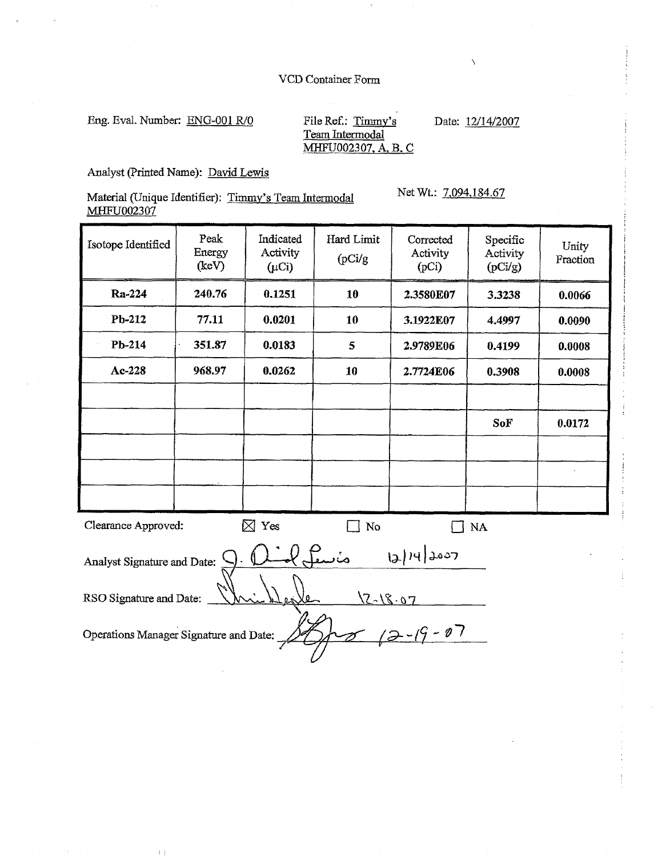## VCD Container Form

Eng. Eval. Number: <u>ENG-001 R/0</u> File Ref.: Timmy's Date: 12/14/2007<br>Team Intermodal MHFU002307, **A,** B, **C** 

**Analyst** (Printed Name): David **L,ewis** 

Material (Unique Identifier): Timmy's Team Intermodal Net Wt.: 7,094,184.67 **MHFU002307** 

| Isotope Identified          | Peak<br>Energy<br>(keV) | Indicated<br>Activity<br>$(\mu Ci)$ | Hard Limit<br>(pCi/g) | Corrected<br>Activity<br>(pCi) | Specific<br>Activity<br>(pCi/g) | Unity<br>Fraction |
|-----------------------------|-------------------------|-------------------------------------|-----------------------|--------------------------------|---------------------------------|-------------------|
| Ra-224                      | 240.76                  | 0.1251                              | 10                    | 2.3580E07                      | 3.3238                          | 0.0066            |
| Pb-212                      | 77.11                   | 0.0201                              | 10                    | 3.1922E07                      | 4,4997                          | 0.0090            |
| Pb-214                      | 351.87                  | 0.0183                              | 5                     | 2.9789E06                      | 0.4199                          | 0.0008            |
| Ac-228                      | 968.97                  | 0.0262                              | 10                    | 2.7724E06                      | 0.3908                          | 0.0008            |
|                             |                         |                                     |                       |                                |                                 |                   |
|                             |                         |                                     |                       |                                | SoF                             | 0.0172            |
|                             |                         |                                     |                       |                                |                                 |                   |
|                             |                         |                                     |                       |                                |                                 |                   |
|                             |                         |                                     |                       |                                |                                 |                   |
| Clearance Approved:         |                         | $\boxtimes$ Yes                     | $\Box$ No             |                                | NA                              |                   |
| Analyst Signature and Date: |                         |                                     |                       | $(2)$ 14/2007                  |                                 |                   |

Operations Manager Signature and Date:  $12-18.07$ <br>  $\overline{2}$   $(2-19-07)$ 

<u>Minhelp</u>

RSO Signature **and** Date:

 $\left\vert \cdot\right\vert$